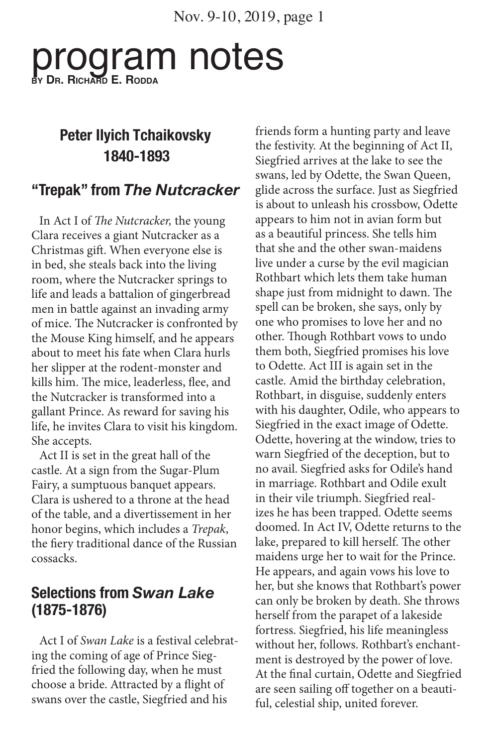Nov. 9-10, 2019, page 1

# program notes **by Dr. Richard E. Rodda**

## **Peter Ilyich Tchaikovsky 1840-1893**

### **"Trepak" from** *The Nutcracker*

In Act I of *The Nutcracker,* the young Clara receives a giant Nutcracker as a Christmas gift. When everyone else is in bed, she steals back into the living room, where the Nutcracker springs to life and leads a battalion of gingerbread men in battle against an invading army of mice. The Nutcracker is confronted by the Mouse King himself, and he appears about to meet his fate when Clara hurls her slipper at the rodent-monster and kills him. The mice, leaderless, flee, and the Nutcracker is transformed into a gallant Prince. As reward for saving his life, he invites Clara to visit his kingdom. She accepts.

Act II is set in the great hall of the castle. At a sign from the Sugar-Plum Fairy, a sumptuous banquet appears. Clara is ushered to a throne at the head of the table, and a divertissement in her honor begins, which includes a *Trepak*, the fiery traditional dance of the Russian cossacks.

#### **Selections from** *Swan Lake* **(1875-1876)**

Act I of *Swan Lake* is a festival celebrating the coming of age of Prince Siegfried the following day, when he must choose a bride. Attracted by a flight of swans over the castle, Siegfried and his

friends form a hunting party and leave the festivity. At the beginning of Act II, Siegfried arrives at the lake to see the swans, led by Odette, the Swan Queen, glide across the surface. Just as Siegfried is about to unleash his crossbow, Odette appears to him not in avian form but as a beautiful princess. She tells him that she and the other swan-maidens live under a curse by the evil magician Rothbart which lets them take human shape just from midnight to dawn. The spell can be broken, she says, only by one who promises to love her and no other. Though Rothbart vows to undo them both, Siegfried promises his love to Odette. Act III is again set in the castle. Amid the birthday celebration, Rothbart, in disguise, suddenly enters with his daughter, Odile, who appears to Siegfried in the exact image of Odette. Odette, hovering at the window, tries to warn Siegfried of the deception, but to no avail. Siegfried asks for Odile's hand in marriage. Rothbart and Odile exult in their vile triumph. Siegfried realizes he has been trapped. Odette seems doomed. In Act IV, Odette returns to the lake, prepared to kill herself. The other maidens urge her to wait for the Prince. He appears, and again vows his love to her, but she knows that Rothbart's power can only be broken by death. She throws herself from the parapet of a lakeside fortress. Siegfried, his life meaningless without her, follows. Rothbart's enchantment is destroyed by the power of love. At the final curtain, Odette and Siegfried are seen sailing off together on a beautiful, celestial ship, united forever.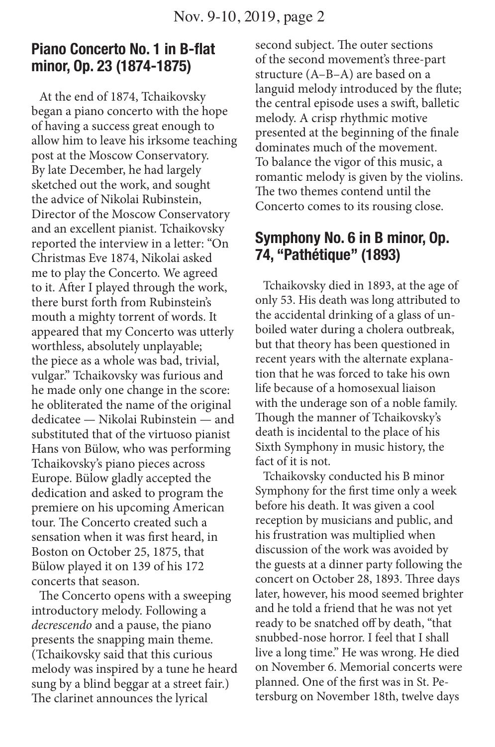#### **Piano Concerto No. 1 in B-flat minor, Op. 23 (1874-1875)**

At the end of 1874, Tchaikovsky began a piano concerto with the hope of having a success great enough to allow him to leave his irksome teaching post at the Moscow Conservatory. By late December, he had largely sketched out the work, and sought the advice of Nikolai Rubinstein, Director of the Moscow Conservatory and an excellent pianist. Tchaikovsky reported the interview in a letter: "On Christmas Eve 1874, Nikolai asked me to play the Concerto. We agreed to it. After I played through the work, there burst forth from Rubinstein's mouth a mighty torrent of words. It appeared that my Concerto was utterly worthless, absolutely unplayable; the piece as a whole was bad, trivial, vulgar." Tchaikovsky was furious and he made only one change in the score: he obliterated the name of the original dedicatee — Nikolai Rubinstein — and substituted that of the virtuoso pianist Hans von Bülow, who was performing Tchaikovsky's piano pieces across Europe. Bülow gladly accepted the dedication and asked to program the premiere on his upcoming American tour. The Concerto created such a sensation when it was first heard, in Boston on October 25, 1875, that Bülow played it on 139 of his 172 concerts that season.

The Concerto opens with a sweeping introductory melody. Following a *decrescendo* and a pause, the piano presents the snapping main theme. (Tchaikovsky said that this curious melody was inspired by a tune he heard sung by a blind beggar at a street fair.) The clarinet announces the lyrical

second subject. The outer sections of the second movement's three-part structure (A–B–A) are based on a languid melody introduced by the flute; the central episode uses a swift, balletic melody. A crisp rhythmic motive presented at the beginning of the finale dominates much of the movement. To balance the vigor of this music, a romantic melody is given by the violins. The two themes contend until the Concerto comes to its rousing close.

#### **Symphony No. 6 in B minor, Op. 74, "Pathétique" (1893)**

Tchaikovsky died in 1893, at the age of only 53. His death was long attributed to the accidental drinking of a glass of unboiled water during a cholera outbreak, but that theory has been questioned in recent years with the alternate explanation that he was forced to take his own life because of a homosexual liaison with the underage son of a noble family. Though the manner of Tchaikovsky's death is incidental to the place of his Sixth Symphony in music history, the fact of it is not.

Tchaikovsky conducted his B minor Symphony for the first time only a week before his death. It was given a cool reception by musicians and public, and his frustration was multiplied when discussion of the work was avoided by the guests at a dinner party following the concert on October 28, 1893. Three days later, however, his mood seemed brighter and he told a friend that he was not yet ready to be snatched off by death, "that snubbed-nose horror. I feel that I shall live a long time." He was wrong. He died on November 6. Memorial concerts were planned. One of the first was in St. Petersburg on November 18th, twelve days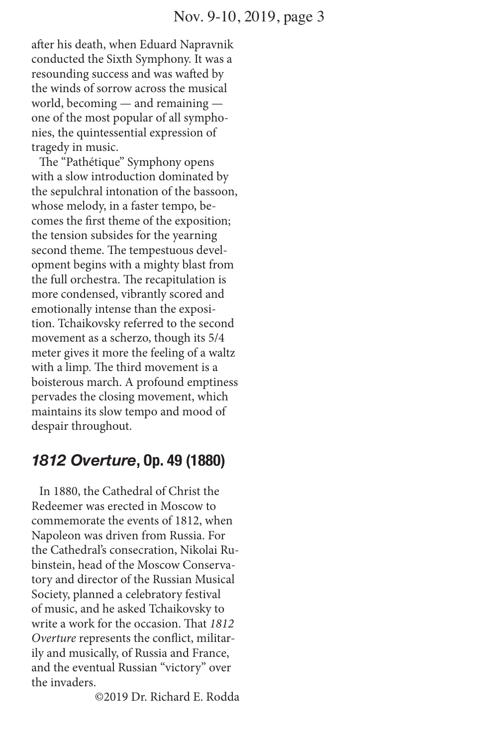after his death, when Eduard Napravnik conducted the Sixth Symphony. It was a resounding success and was wafted by the winds of sorrow across the musical world, becoming — and remaining one of the most popular of all symphonies, the quintessential expression of tragedy in music.

The "Pathétique" Symphony opens with a slow introduction dominated by the sepulchral intonation of the bassoon, whose melody, in a faster tempo, becomes the first theme of the exposition; the tension subsides for the yearning second theme. The tempestuous development begins with a mighty blast from the full orchestra. The recapitulation is more condensed, vibrantly scored and emotionally intense than the exposition. Tchaikovsky referred to the second movement as a scherzo, though its 5/4 meter gives it more the feeling of a waltz with a limp. The third movement is a boisterous march. A profound emptiness pervades the closing movement, which maintains its slow tempo and mood of despair throughout.

#### *1812 Overture***, Op. 49 (1880)**

In 1880, the Cathedral of Christ the Redeemer was erected in Moscow to commemorate the events of 1812, when Napoleon was driven from Russia. For the Cathedral's consecration, Nikolai Rubinstein, head of the Moscow Conservatory and director of the Russian Musical Society, planned a celebratory festival of music, and he asked Tchaikovsky to write a work for the occasion. That *1812 Overture* represents the conflict, militarily and musically, of Russia and France, and the eventual Russian "victory" over the invaders.

©2019 Dr. Richard E. Rodda